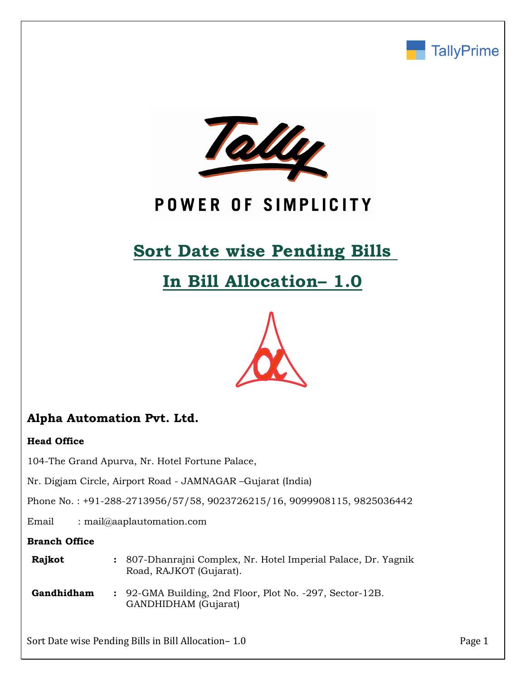



# POWER OF SIMPLICITY

# **Sort Date wise Pending Bills**

# **In Bill Allocation– 1.0**



# **Alpha Automation Pvt. Ltd.**

## **Head Office**

104-The Grand Apurva, Nr. Hotel Fortune Palace,

Nr. Digjam Circle, Airport Road - JAMNAGAR –Gujarat (India)

Phone No. : +91-288-2713956/57/58, 9023726215/16, 9099908115, 9825036442

Email : mail@aaplautomation.com

### **Branch Office**

| Rajkot | : 807-Dhanrajni Complex, Nr. Hotel Imperial Palace, Dr. Yagnik |
|--------|----------------------------------------------------------------|
|        | Road, RAJKOT (Gujarat).                                        |

**Gandhidham :** 92-GMA Building, 2nd Floor, Plot No. -297, Sector-12B. GANDHIDHAM (Gujarat)

Sort Date wise Pending Bills in Bill Allocation– 1.0 Page 1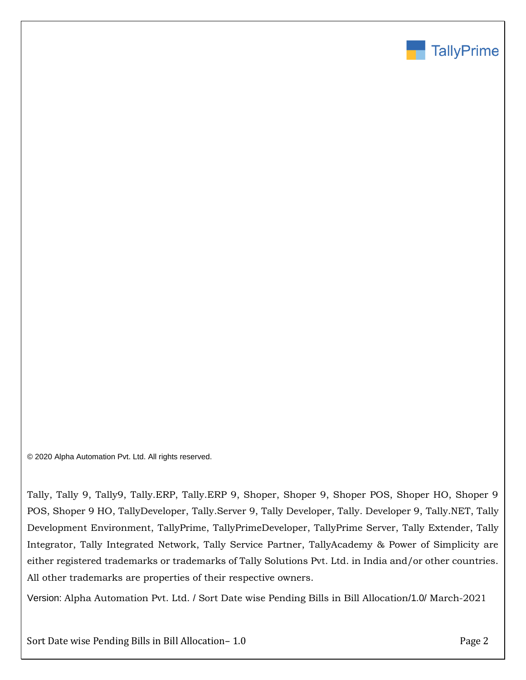

© 2020 Alpha Automation Pvt. Ltd. All rights reserved.

Tally, Tally 9, Tally9, Tally.ERP, Tally.ERP 9, Shoper, Shoper 9, Shoper POS, Shoper HO, Shoper 9 POS, Shoper 9 HO, TallyDeveloper, Tally.Server 9, Tally Developer, Tally. Developer 9, Tally.NET, Tally Development Environment, TallyPrime, TallyPrimeDeveloper, TallyPrime Server, Tally Extender, Tally Integrator, Tally Integrated Network, Tally Service Partner, TallyAcademy & Power of Simplicity are either registered trademarks or trademarks of Tally Solutions Pvt. Ltd. in India and/or other countries. All other trademarks are properties of their respective owners.

Version: Alpha Automation Pvt. Ltd. / Sort Date wise Pending Bills in Bill Allocation/1.0/ March-2021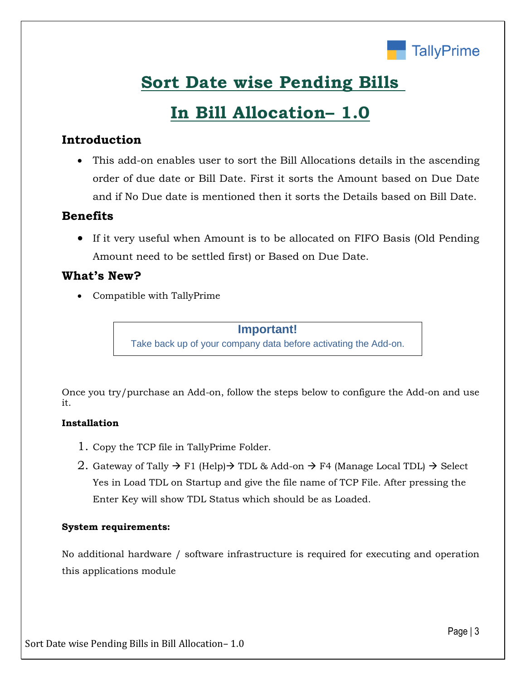

# **Sort Date wise Pending Bills**

# **In Bill Allocation– 1.0**

## **Introduction**

• This add-on enables user to sort the Bill Allocations details in the ascending order of due date or Bill Date. First it sorts the Amount based on Due Date and if No Due date is mentioned then it sorts the Details based on Bill Date.

## **Benefits**

• If it very useful when Amount is to be allocated on FIFO Basis (Old Pending Amount need to be settled first) or Based on Due Date.

## **What's New?**

• Compatible with TallyPrime

## **Important!**

Take back up of your company data before activating the Add-on.

Once you try/purchase an Add-on, follow the steps below to configure the Add-on and use it.

## **Installation**

- 1. Copy the TCP file in TallyPrime Folder.
- 2. Gateway of Tally  $\rightarrow$  F1 (Help) $\rightarrow$  TDL & Add-on  $\rightarrow$  F4 (Manage Local TDL)  $\rightarrow$  Select Yes in Load TDL on Startup and give the file name of TCP File. After pressing the Enter Key will show TDL Status which should be as Loaded.

## **System requirements:**

No additional hardware / software infrastructure is required for executing and operation this applications module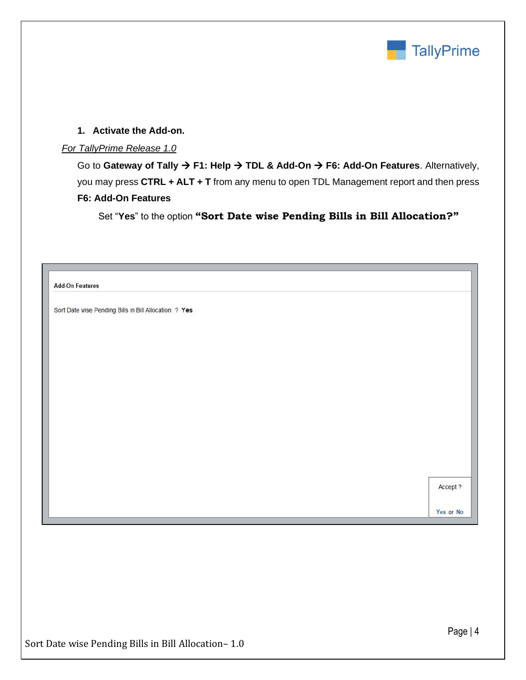

### **1. Activate the Add-on.**

#### *For TallyPrime Release 1.0*

Go to **Gateway of Tally** → **F1: Help** → **TDL & Add-On** → **F6: Add-On Features**. Alternatively, you may press **CTRL + ALT + T** from any menu to open TDL Management report and then press **F6: Add-On Features**

Set "**Yes**" to the option **"Sort Date wise Pending Bills in Bill Allocation?"**

| <b>Add-On Features</b>                                |          |
|-------------------------------------------------------|----------|
| Sort Date wise Pending Bills in Bill Allocation ? Yes |          |
|                                                       |          |
|                                                       |          |
|                                                       |          |
|                                                       |          |
|                                                       |          |
|                                                       |          |
|                                                       |          |
|                                                       |          |
|                                                       |          |
|                                                       |          |
|                                                       |          |
|                                                       | Accept ? |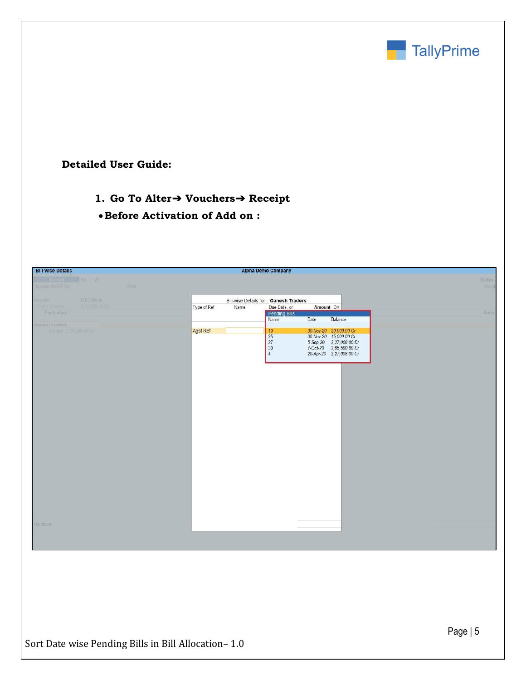

**Detailed User Guide:**

- **1. Go To Alter**➔ **Vouchers**➔ **Receipt**
- •**Before Activation of Add on :**

| <b>Bill-wise Details</b>               |                   |       |             |                                       | <b>Alpha Demo Company</b> |            |                                                    |  |  |                 |
|----------------------------------------|-------------------|-------|-------------|---------------------------------------|---------------------------|------------|----------------------------------------------------|--|--|-----------------|
| Receipt No. 23:<br>Supplier Inv/Ref No |                   | Date: |             |                                       |                           |            |                                                    |  |  | 30-Nov-<br>Mond |
| Account                                | <b>ICICI Bank</b> |       |             | Bill-wise Details for: Ganesh Traders |                           |            |                                                    |  |  |                 |
| <b>Summit Balance</b><br>Particulars   | 3.11.206.00 Dr    |       | Type of Ref | Name                                  | Due Date, or              | Amount Dr/ |                                                    |  |  |                 |
|                                        |                   |       |             |                                       | Pending Bills             | Date       | Balance                                            |  |  | Amou            |
| Ganesh Traders                         |                   |       |             |                                       |                           |            |                                                    |  |  |                 |
| Cur Bal: 2,30,500.00 Dr.               |                   |       | Agst Ref    |                                       | 10<br>25                  |            | 30-Nov-20 20,000.00 Cr<br>30-Nov-20 15,000.00 Cr   |  |  |                 |
|                                        |                   |       |             |                                       | 27<br>30                  |            | 5-Sep-20 2,27,008.00 Dr<br>1-Oct-20 2,65,500.00 Dr |  |  |                 |
|                                        |                   |       |             |                                       | $\overline{4}$            |            | 20-Apr-20 2,27,008.00 Cr                           |  |  |                 |
|                                        |                   |       |             |                                       |                           |            |                                                    |  |  |                 |
|                                        |                   |       |             |                                       |                           |            |                                                    |  |  |                 |
|                                        |                   |       |             |                                       |                           |            |                                                    |  |  |                 |
|                                        |                   |       |             |                                       |                           |            |                                                    |  |  |                 |
|                                        |                   |       |             |                                       |                           |            |                                                    |  |  |                 |
|                                        |                   |       |             |                                       |                           |            |                                                    |  |  |                 |
|                                        |                   |       |             |                                       |                           |            |                                                    |  |  |                 |
|                                        |                   |       |             |                                       |                           |            |                                                    |  |  |                 |
|                                        |                   |       |             |                                       |                           |            |                                                    |  |  |                 |
|                                        |                   |       |             |                                       |                           |            |                                                    |  |  |                 |
|                                        |                   |       |             |                                       |                           |            |                                                    |  |  |                 |
|                                        |                   |       |             |                                       |                           |            |                                                    |  |  |                 |
|                                        |                   |       |             |                                       |                           |            |                                                    |  |  |                 |
|                                        |                   |       |             |                                       |                           |            |                                                    |  |  |                 |
|                                        |                   |       |             |                                       |                           |            |                                                    |  |  |                 |
|                                        |                   |       |             |                                       |                           |            |                                                    |  |  |                 |
|                                        |                   |       |             |                                       |                           |            |                                                    |  |  |                 |
|                                        |                   |       |             |                                       |                           |            |                                                    |  |  |                 |
|                                        |                   |       |             |                                       |                           |            |                                                    |  |  |                 |
| Narration                              |                   |       |             |                                       |                           |            |                                                    |  |  |                 |
|                                        |                   |       |             |                                       |                           |            |                                                    |  |  |                 |
|                                        |                   |       |             |                                       |                           |            |                                                    |  |  |                 |
|                                        |                   |       |             |                                       |                           |            |                                                    |  |  |                 |
|                                        |                   |       |             |                                       |                           |            |                                                    |  |  |                 |
|                                        |                   |       |             |                                       |                           |            |                                                    |  |  |                 |
|                                        |                   |       |             |                                       |                           |            |                                                    |  |  |                 |
|                                        |                   |       |             |                                       |                           |            |                                                    |  |  |                 |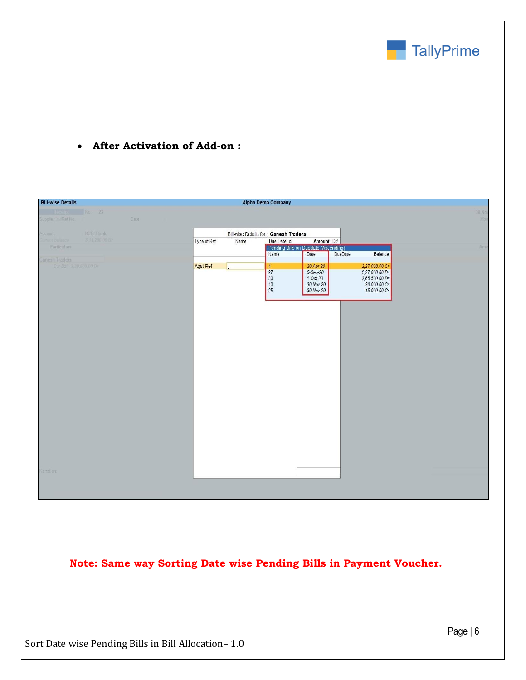

## • **After Activation of Add-on :**

| <b>Bill-wise Details</b>                                |                     | <b>Alpha Demo Company</b>               |                                              |                                  |               |
|---------------------------------------------------------|---------------------|-----------------------------------------|----------------------------------------------|----------------------------------|---------------|
| eip No. 23<br>Supplier Inv/Ref No.<br>Date:             |                     |                                         |                                              |                                  | 30-Nov<br>Man |
| ICICI Bank<br>Account                                   |                     | Bill-wise Details for Ganesh Traders    |                                              |                                  |               |
| 8.11.200.00 Dr<br><b>Surrent balance</b><br>Particulars | Type of Ref<br>Name | Due Date, or                            | Amount Dr/                                   |                                  |               |
|                                                         |                     | Name                                    | Pending Bills on Duedate (Ascending)<br>Date | DueDate<br>Balance               | Amo           |
| <b>Ganesh Traders</b>                                   |                     |                                         |                                              |                                  |               |
| Cur Bal 2.30,500,00 Dr                                  | Agst Ref            | $\overline{4}$<br>27                    | 20-Apr-20<br>5-Sep-20                        | 2,27,008.00 Cr<br>2,27,008.00 Dr |               |
|                                                         |                     | $\begin{array}{c} 30 \\ 10 \end{array}$ | $1-Oct-20$<br>30-Nov-20                      | 2,65,500.00 Dr<br>20,000.00 Cr   |               |
|                                                         |                     | 25                                      | 30-Nov-20                                    | 15,000.00 Cr                     |               |
|                                                         |                     |                                         |                                              |                                  |               |
|                                                         |                     |                                         |                                              |                                  |               |
|                                                         |                     |                                         |                                              |                                  |               |
|                                                         |                     |                                         |                                              |                                  |               |
|                                                         |                     |                                         |                                              |                                  |               |
|                                                         |                     |                                         |                                              |                                  |               |
|                                                         |                     |                                         |                                              |                                  |               |
|                                                         |                     |                                         |                                              |                                  |               |
|                                                         |                     |                                         |                                              |                                  |               |
|                                                         |                     |                                         |                                              |                                  |               |
|                                                         |                     |                                         |                                              |                                  |               |
|                                                         |                     |                                         |                                              |                                  |               |
|                                                         |                     |                                         |                                              |                                  |               |
|                                                         |                     |                                         |                                              |                                  |               |
|                                                         |                     |                                         |                                              |                                  |               |
|                                                         |                     |                                         |                                              |                                  |               |
|                                                         |                     |                                         |                                              |                                  |               |
|                                                         |                     |                                         |                                              |                                  |               |
| Narrations                                              |                     |                                         |                                              |                                  |               |
|                                                         |                     |                                         |                                              |                                  |               |
|                                                         |                     |                                         |                                              |                                  |               |
|                                                         |                     |                                         |                                              |                                  |               |

**Note: Same way Sorting Date wise Pending Bills in Payment Voucher.**

Sort Date wise Pending Bills in Bill Allocation– 1.0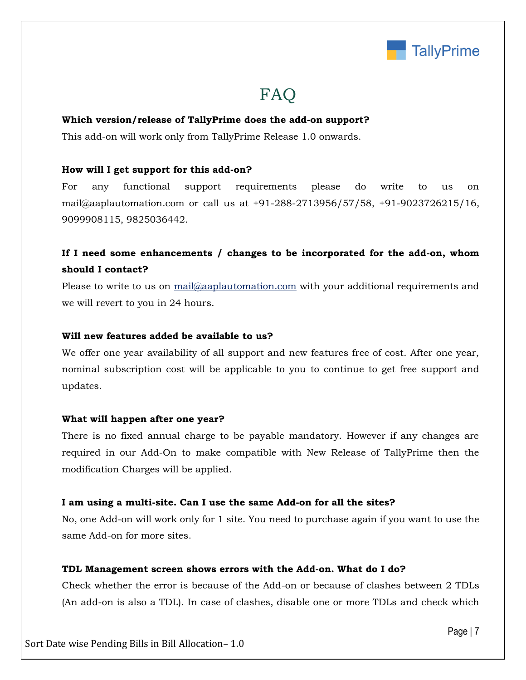

# FAQ

#### **Which version/release of TallyPrime does the add-on support?**

This add-on will work only from TallyPrime Release 1.0 onwards.

### **How will I get support for this add-on?**

For any functional support requirements please do write to us on mail@aaplautomation.com or call us at +91-288-2713956/57/58, +91-9023726215/16, 9099908115, 9825036442.

# **If I need some enhancements / changes to be incorporated for the add-on, whom should I contact?**

Please to write to us on mail@aaplautomation.com with your additional requirements and we will revert to you in 24 hours.

#### **Will new features added be available to us?**

We offer one year availability of all support and new features free of cost. After one year, nominal subscription cost will be applicable to you to continue to get free support and updates.

### **What will happen after one year?**

There is no fixed annual charge to be payable mandatory. However if any changes are required in our Add-On to make compatible with New Release of TallyPrime then the modification Charges will be applied.

### **I am using a multi-site. Can I use the same Add-on for all the sites?**

No, one Add-on will work only for 1 site. You need to purchase again if you want to use the same Add-on for more sites.

### **TDL Management screen shows errors with the Add-on. What do I do?**

Check whether the error is because of the Add-on or because of clashes between 2 TDLs (An add-on is also a TDL). In case of clashes, disable one or more TDLs and check which